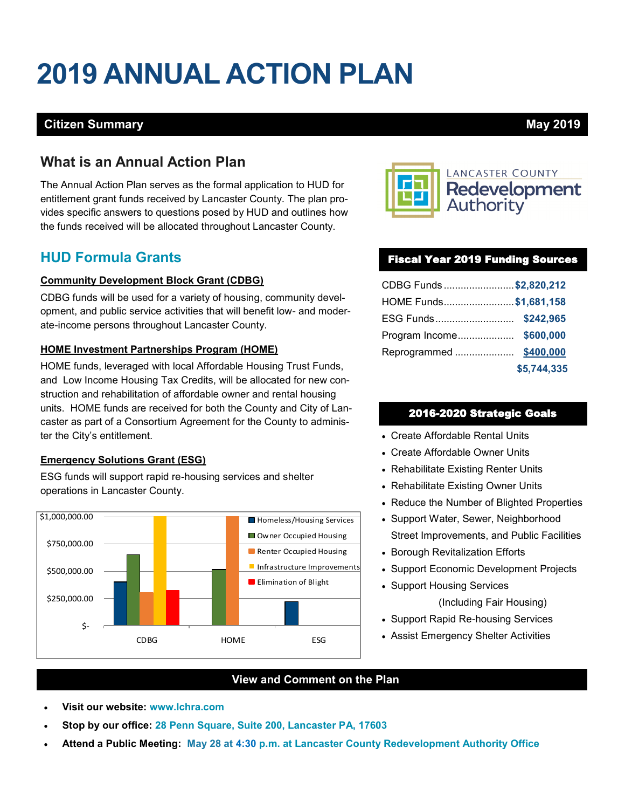# **2019 ANNUAL ACTION PLAN**

### **Citizen Summary May 2019**

## **What is an Annual Action Plan**

The Annual Action Plan serves as the formal application to HUD for entitlement grant funds received by Lancaster County. The plan provides specific answers to questions posed by HUD and outlines how the funds received will be allocated throughout Lancaster County.

# **HUD Formula Grants**

#### **Community Development Block Grant (CDBG)**

CDBG funds will be used for a variety of housing, community development, and public service activities that will benefit low- and moderate-income persons throughout Lancaster County.

#### **HOME Investment Partnerships Program (HOME)**

HOME funds, leveraged with local Affordable Housing Trust Funds, and Low Income Housing Tax Credits, will be allocated for new construction and rehabilitation of affordable owner and rental housing units. HOME funds are received for both the County and City of Lancaster as part of a Consortium Agreement for the County to administer the City's entitlement.

#### **Emergency Solutions Grant (ESG)**

ESG funds will support rapid re-housing services and shelter operations in Lancaster County.





#### Fiscal Year 2019 Funding Sources

| CDBG Funds \$2,820,212 |             |
|------------------------|-------------|
| HOME Funds\$1,681,158  |             |
| ESG Funds \$242,965    |             |
| Program Income         | \$600,000   |
| Reprogrammed           | \$400,000   |
|                        | \$5,744,335 |

#### 2016-2020 Strategic Goals

- Create Affordable Rental Units
- Create Affordable Owner Units
- Rehabilitate Existing Renter Units
- Rehabilitate Existing Owner Units
- Reduce the Number of Blighted Properties
- Support Water, Sewer, Neighborhood Street Improvements, and Public Facilities
- Borough Revitalization Efforts
- Support Economic Development Projects
- Support Housing Services

(Including Fair Housing)

- Support Rapid Re-housing Services
- Assist Emergency Shelter Activities

#### **View and Comment on the Plan**

- **Visit our website: www.lchra.com**
- **Stop by our office: 28 Penn Square, Suite 200, Lancaster PA, 17603**
- **Attend a Public Meeting: May 28 at 4:30 p.m. at Lancaster County Redevelopment Authority Office**